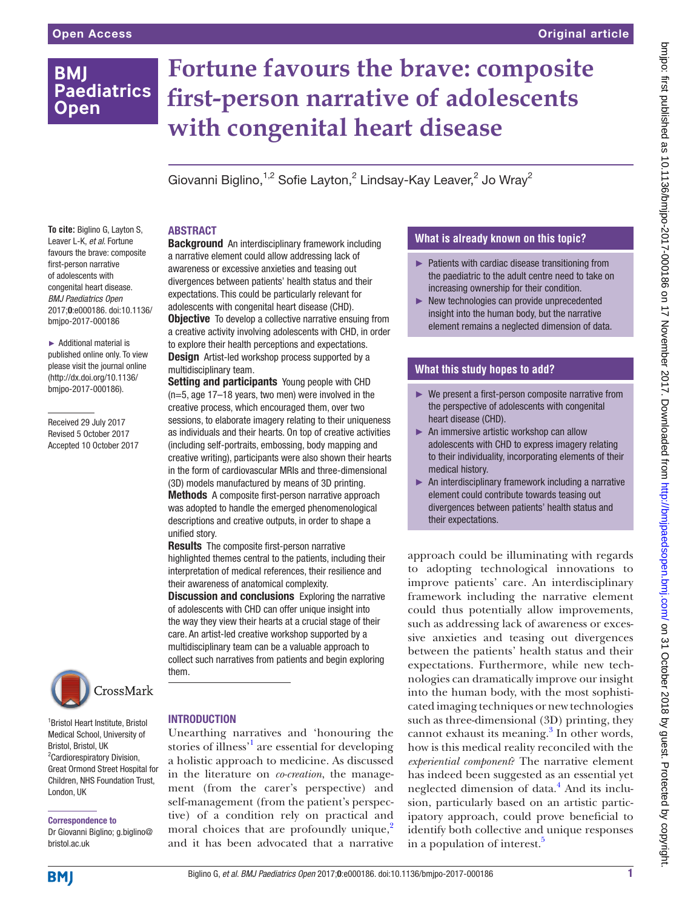# **BMJ Paediatrics Open**

# **Fortune favours the brave: composite first-person narrative of adolescents with congenital heart disease**

Giovanni Biglino,<sup>1,2</sup> Sofie Layton,<sup>2</sup> Lindsay-Kay Leaver,<sup>2</sup> Jo Wray<sup>2</sup>

# **ABSTRACT**

**To cite:** Biglino G, Layton S, Leaver L-K, *et al*. Fortune favours the brave: composite first-person narrative of adolescents with congenital heart disease. *BMJ Paediatrics Open* 2017;0:e000186. doi:10.1136/ bmjpo-2017-000186

► Additional material is published online only. To view please visit the journal online (http://dx.doi.org/10.1136/ bmjpo-2017-000186).

Received 29 July 2017 Revised 5 October 2017 Accepted 10 October 2017



1 Bristol Heart Institute, Bristol Medical School, University of Bristol, Bristol, UK <sup>2</sup> Cardiorespiratory Division, Great Ormond Street Hospital for Children, NHS Foundation Trust, London, UK

Correspondence to Dr Giovanni Biglino; g.biglino@ bristol.ac.uk

**Background** An interdisciplinary framework including a narrative element could allow addressing lack of awareness or excessive anxieties and teasing out divergences between patients' health status and their expectations. This could be particularly relevant for adolescents with congenital heart disease (CHD). **Objective** To develop a collective narrative ensuing from a creative activity involving adolescents with CHD, in order to explore their health perceptions and expectations. **Design** Artist-led workshop process supported by a multidisciplinary team.

Setting and participants Young people with CHD (n=5, age 17–18 years, two men) were involved in the creative process, which encouraged them, over two sessions, to elaborate imagery relating to their uniqueness as individuals and their hearts. On top of creative activities (including self-portraits, embossing, body mapping and creative writing), participants were also shown their hearts in the form of cardiovascular MRIs and three-dimensional (3D) models manufactured by means of 3D printing. Methods A composite first-person narrative approach was adopted to handle the emerged phenomenological descriptions and creative outputs, in order to shape a unified story.

**Results** The composite first-person narrative highlighted themes central to the patients, including their interpretation of medical references, their resilience and their awareness of anatomical complexity.

**Discussion and conclusions** Exploring the narrative of adolescents with CHD can offer unique insight into the way they view their hearts at a crucial stage of their care. An artist-led creative workshop supported by a multidisciplinary team can be a valuable approach to collect such narratives from patients and begin exploring them.

## **INTRODUCTION**

Unearthing narratives and 'honouring the stories of illness'<sup>1</sup> are essential for developing a holistic approach to medicine. As discussed in the literature on *co-creation*, the management (from the carer's perspective) and self-management (from the patient's perspective) of a condition rely on practical and moral choices that are profoundly unique, $\frac{2}{3}$ and it has been advocated that a narrative

# **What is already known on this topic?**

- ► Patients with cardiac disease transitioning from the paediatric to the adult centre need to take on increasing ownership for their condition.
- ► New technologies can provide unprecedented insight into the human body, but the narrative element remains a neglected dimension of data.

# **What this study hopes to add?**

- $\blacktriangleright$  We present a first-person composite narrative from the perspective of adolescents with congenital heart disease (CHD).
- ► An immersive artistic workshop can allow adolescents with CHD to express imagery relating to their individuality, incorporating elements of their medical history.
- ► An interdisciplinary framework including a narrative element could contribute towards teasing out divergences between patients' health status and their expectations.

approach could be illuminating with regards to adopting technological innovations to improve patients' care. An interdisciplinary framework including the narrative element could thus potentially allow improvements, such as addressing lack of awareness or excessive anxieties and teasing out divergences between the patients' health status and their expectations. Furthermore, while new technologies can dramatically improve our insight into the human body, with the most sophisticated imaging techniques or new technologies such as three-dimensional (3D) printing, they cannot exhaust its meaning.<sup>3</sup> In other words, how is this medical reality reconciled with the *experiential component*? The narrative element has indeed been suggested as an essential yet neglected dimension of data.<sup>4</sup> And its inclusion, particularly based on an artistic participatory approach, could prove beneficial to identify both collective and unique responses in a population of interest.<sup>5</sup>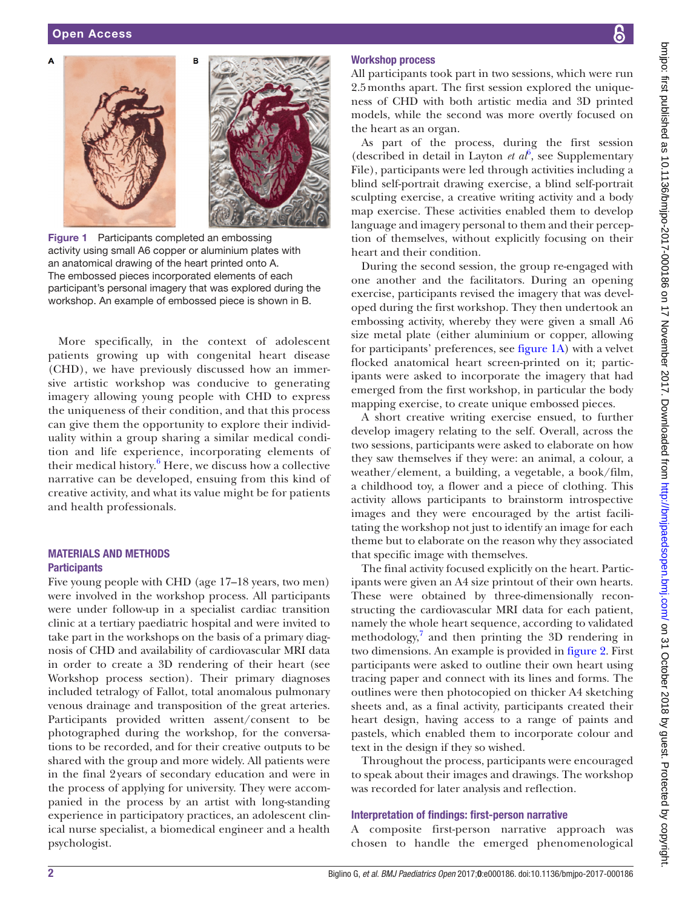

Figure 1 Participants completed an embossing activity using small A6 copper or aluminium plates with an anatomical drawing of the heart printed onto A. The embossed pieces incorporated elements of each participant's personal imagery that was explored during the workshop. An example of embossed piece is shown in B.

<span id="page-1-0"></span>More specifically, in the context of adolescent patients growing up with congenital heart disease (CHD), we have previously discussed how an immersive artistic workshop was conducive to generating imagery allowing young people with CHD to express the uniqueness of their condition, and that this process can give them the opportunity to explore their individuality within a group sharing a similar medical condition and life experience, incorporating elements of their medical history.<sup>6</sup> Here, we discuss how a collective narrative can be developed, ensuing from this kind of creative activity, and what its value might be for patients and health professionals.

#### Materials and methods **Participants**

Five young people with CHD (age 17–18 years, two men) were involved in the workshop process. All participants were under follow-up in a specialist cardiac transition clinic at a tertiary paediatric hospital and were invited to take part in the workshops on the basis of a primary diagnosis of CHD and availability of cardiovascular MRI data in order to create a 3D rendering of their heart (see Workshop process section). Their primary diagnoses included tetralogy of Fallot, total anomalous pulmonary venous drainage and transposition of the great arteries. Participants provided written assent/consent to be photographed during the workshop, for the conversations to be recorded, and for their creative outputs to be shared with the group and more widely. All patients were in the final 2years of secondary education and were in the process of applying for university. They were accompanied in the process by an artist with long-standing experience in participatory practices, an adolescent clinical nurse specialist, a biomedical engineer and a health psychologist.

### Workshop process

All participants took part in two sessions, which were run 2.5months apart. The first session explored the uniqueness of CHD with both artistic media and 3D printed models, while the second was more overtly focused on the heart as an organ.

As part of the process, during the first session (described in detail in Layton  $et \t a t^6$  $et \t a t^6$ , see Supplementary File), participants were led through activities including a blind self-portrait drawing exercise, a blind self-portrait sculpting exercise, a creative writing activity and a body map exercise. These activities enabled them to develop language and imagery personal to them and their perception of themselves, without explicitly focusing on their heart and their condition.

During the second session, the group re-engaged with one another and the facilitators. During an opening exercise, participants revised the imagery that was developed during the first workshop. They then undertook an embossing activity, whereby they were given a small A6 size metal plate (either aluminium or copper, allowing for participants' preferences, see [figure](#page-1-0) 1A) with a velvet flocked anatomical heart screen-printed on it; participants were asked to incorporate the imagery that had emerged from the first workshop, in particular the body mapping exercise, to create unique embossed pieces.

A short creative writing exercise ensued, to further develop imagery relating to the self. Overall, across the two sessions, participants were asked to elaborate on how they saw themselves if they were: an animal, a colour, a weather/element, a building, a vegetable, a book/film, a childhood toy, a flower and a piece of clothing. This activity allows participants to brainstorm introspective images and they were encouraged by the artist facilitating the workshop not just to identify an image for each theme but to elaborate on the reason why they associated that specific image with themselves.

The final activity focused explicitly on the heart. Participants were given an A4 size printout of their own hearts. These were obtained by three-dimensionally reconstructing the cardiovascular MRI data for each patient, namely the whole heart sequence, according to validated methodology, $7$  and then printing the 3D rendering in two dimensions. An example is provided in [figure](#page-2-0) 2. First participants were asked to outline their own heart using tracing paper and connect with its lines and forms. The outlines were then photocopied on thicker A4 sketching sheets and, as a final activity, participants created their heart design, having access to a range of paints and pastels, which enabled them to incorporate colour and text in the design if they so wished.

Throughout the process, participants were encouraged to speak about their images and drawings. The workshop was recorded for later analysis and reflection.

#### Interpretation of findings: first-person narrative

A composite first-person narrative approach was chosen to handle the emerged phenomenological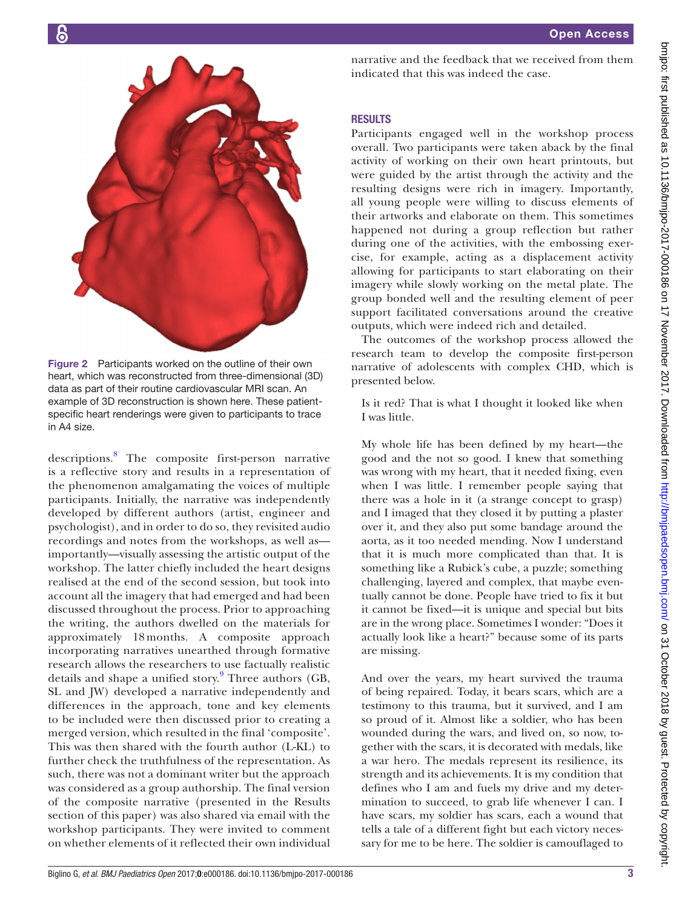

Figure 2 Participants worked on the outline of their own heart, which was reconstructed from three-dimensional (3D) data as part of their routine cardiovascular MRI scan. An example of 3D reconstruction is shown here. These patientspecific heart renderings were given to participants to trace in A4 size.

<span id="page-2-0"></span>descriptions.[8](#page-4-2) The composite first-person narrative is a reflective story and results in a representation of the phenomenon amalgamating the voices of multiple participants. Initially, the narrative was independently developed by different authors (artist, engineer and psychologist), and in order to do so, they revisited audio recordings and notes from the workshops, as well as importantly—visually assessing the artistic output of the workshop. The latter chiefly included the heart designs realised at the end of the second session, but took into account all the imagery that had emerged and had been discussed throughout the process. Prior to approaching the writing, the authors dwelled on the materials for approximately 18 months. A composite approach incorporating narratives unearthed through formative research allows the researchers to use factually realistic details and shape a unified story.<sup>[9](#page-4-3)</sup> Three authors (GB, SL and JW) developed a narrative independently and differences in the approach, tone and key elements to be included were then discussed prior to creating a merged version, which resulted in the final 'composite'. This was then shared with the fourth author (L-KL) to further check the truthfulness of the representation. As such, there was not a dominant writer but the approach was considered as a group authorship. The final version of the composite narrative (presented in the Results section of this paper) was also shared via email with the workshop participants. They were invited to comment on whether elements of it reflected their own individual

narrative and the feedback that we received from them indicated that this was indeed the case.

#### **RESULTS**

Participants engaged well in the workshop process overall. Two participants were taken aback by the final activity of working on their own heart printouts, but were guided by the artist through the activity and the resulting designs were rich in imagery. Importantly, all young people were willing to discuss elements of their artworks and elaborate on them. This sometimes happened not during a group reflection but rather during one of the activities, with the embossing exercise, for example, acting as a displacement activity allowing for participants to start elaborating on their imagery while slowly working on the metal plate. The group bonded well and the resulting element of peer support facilitated conversations around the creative outputs, which were indeed rich and detailed.

The outcomes of the workshop process allowed the research team to develop the composite first-person narrative of adolescents with complex CHD, which is presented below.

Is it red? That is what I thought it looked like when I was little.

My whole life has been defined by my heart—the good and the not so good. I knew that something was wrong with my heart, that it needed fixing, even when I was little. I remember people saying that there was a hole in it (a strange concept to grasp) and I imaged that they closed it by putting a plaster over it, and they also put some bandage around the aorta, as it too needed mending. Now I understand that it is much more complicated than that. It is something like a Rubick's cube, a puzzle; something challenging, layered and complex, that maybe eventually cannot be done. People have tried to fix it but it cannot be fixed—it is unique and special but bits are in the wrong place. Sometimes I wonder: "Does it actually look like a heart?" because some of its parts are missing.

And over the years, my heart survived the trauma of being repaired. Today, it bears scars, which are a testimony to this trauma, but it survived, and I am so proud of it. Almost like a soldier, who has been wounded during the wars, and lived on, so now, together with the scars, it is decorated with medals, like a war hero. The medals represent its resilience, its strength and its achievements. It is my condition that defines who I am and fuels my drive and my determination to succeed, to grab life whenever I can. I have scars, my soldier has scars, each a wound that tells a tale of a different fight but each victory necessary for me to be here. The soldier is camouflaged to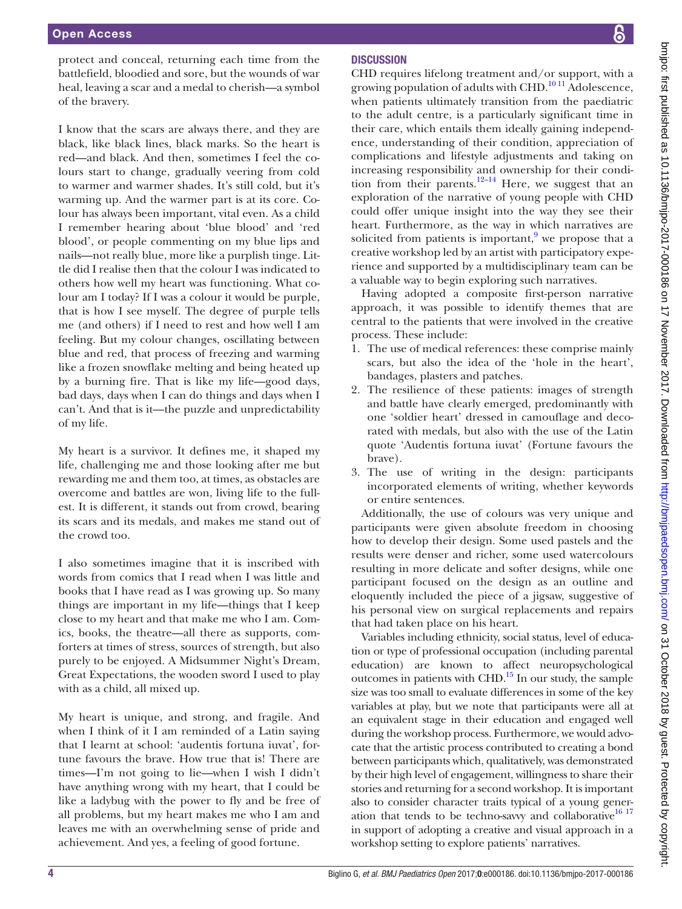protect and conceal, returning each time from the battlefield, bloodied and sore, but the wounds of war heal, leaving a scar and a medal to cherish—a symbol of the bravery.

I know that the scars are always there, and they are black, like black lines, black marks. So the heart is red—and black. And then, sometimes I feel the colours start to change, gradually veering from cold to warmer and warmer shades. It's still cold, but it's warming up. And the warmer part is at its core. Colour has always been important, vital even. As a child I remember hearing about 'blue blood' and 'red blood', or people commenting on my blue lips and nails—not really blue, more like a purplish tinge. Little did I realise then that the colour I was indicated to others how well my heart was functioning. What colour am I today? If I was a colour it would be purple, that is how I see myself. The degree of purple tells me (and others) if I need to rest and how well I am feeling. But my colour changes, oscillating between blue and red, that process of freezing and warming like a frozen snowflake melting and being heated up by a burning fire. That is like my life—good days, bad days, days when I can do things and days when I can't. And that is it—the puzzle and unpredictability of my life.

My heart is a survivor. It defines me, it shaped my life, challenging me and those looking after me but rewarding me and them too, at times, as obstacles are overcome and battles are won, living life to the fullest. It is different, it stands out from crowd, bearing its scars and its medals, and makes me stand out of the crowd too.

I also sometimes imagine that it is inscribed with words from comics that I read when I was little and books that I have read as I was growing up. So many things are important in my life—things that I keep close to my heart and that make me who I am. Comics, books, the theatre—all there as supports, comforters at times of stress, sources of strength, but also purely to be enjoyed. A Midsummer Night's Dream, Great Expectations, the wooden sword I used to play with as a child, all mixed up.

My heart is unique, and strong, and fragile. And when I think of it I am reminded of a Latin saying that I learnt at school: 'audentis fortuna iuvat', fortune favours the brave. How true that is! There are times—I'm not going to lie—when I wish I didn't have anything wrong with my heart, that I could be like a ladybug with the power to fly and be free of all problems, but my heart makes me who I am and leaves me with an overwhelming sense of pride and achievement. And yes, a feeling of good fortune.

# **DISCUSSION**

CHD requires lifelong treatment and/or support, with a growing population of adults with CHD.<sup>1011</sup> Adolescence, when patients ultimately transition from the paediatric to the adult centre, is a particularly significant time in their care, which entails them ideally gaining independence, understanding of their condition, appreciation of complications and lifestyle adjustments and taking on increasing responsibility and ownership for their condi-tion from their parents.<sup>[12–14](#page-4-5)</sup> Here, we suggest that an exploration of the narrative of young people with CHD could offer unique insight into the way they see their heart. Furthermore, as the way in which narratives are solicited from patients is important, $9$  we propose that a creative workshop led by an artist with participatory experience and supported by a multidisciplinary team can be a valuable way to begin exploring such narratives.

Having adopted a composite first-person narrative approach, it was possible to identify themes that are central to the patients that were involved in the creative process. These include:

- 1. The use of medical references: these comprise mainly scars, but also the idea of the 'hole in the heart', bandages, plasters and patches.
- 2. The resilience of these patients: images of strength and battle have clearly emerged, predominantly with one 'soldier heart' dressed in camouflage and decorated with medals, but also with the use of the Latin quote 'Audentis fortuna iuvat' (Fortune favours the brave).
- 3. The use of writing in the design: participants incorporated elements of writing, whether keywords or entire sentences.

Additionally, the use of colours was very unique and participants were given absolute freedom in choosing how to develop their design. Some used pastels and the results were denser and richer, some used watercolours resulting in more delicate and softer designs, while one participant focused on the design as an outline and eloquently included the piece of a jigsaw, suggestive of his personal view on surgical replacements and repairs that had taken place on his heart.

Variables including ethnicity, social status, level of education or type of professional occupation (including parental education) are known to affect neuropsychological outcomes in patients with CHD. $^{15}$  In our study, the sample size was too small to evaluate differences in some of the key variables at play, but we note that participants were all at an equivalent stage in their education and engaged well during the workshop process. Furthermore, we would advocate that the artistic process contributed to creating a bond between participants which, qualitatively, was demonstrated by their high level of engagement, willingness to share their stories and returning for a second workshop. It is important also to consider character traits typical of a young generation that tends to be techno-savvy and collaborative $16\frac{17}{2}$ in support of adopting a creative and visual approach in a workshop setting to explore patients' narratives.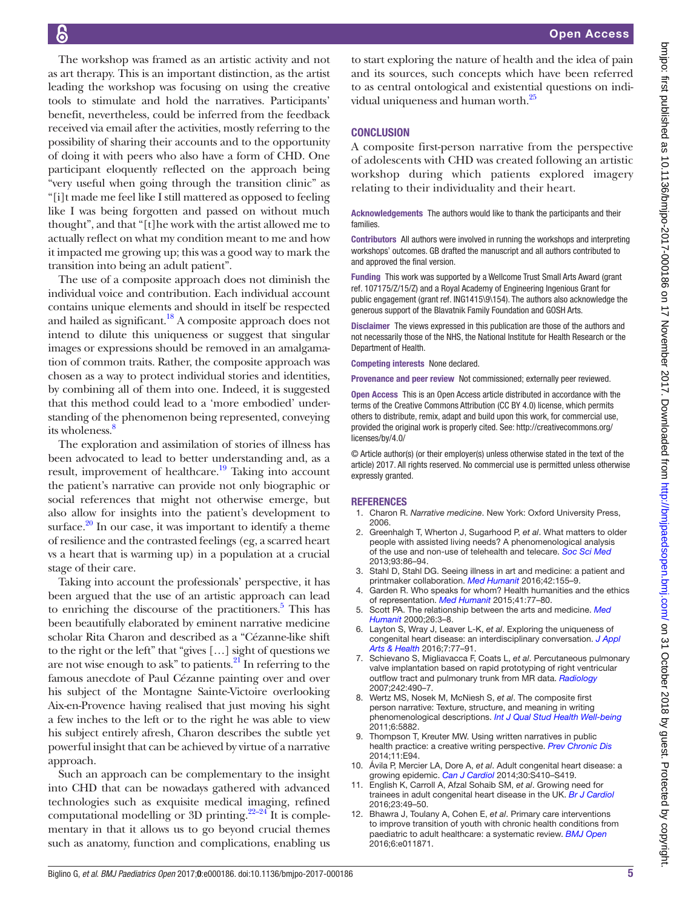The workshop was framed as an artistic activity and not as art therapy. This is an important distinction, as the artist leading the workshop was focusing on using the creative tools to stimulate and hold the narratives. Participants' benefit, nevertheless, could be inferred from the feedback received via email after the activities, mostly referring to the possibility of sharing their accounts and to the opportunity

of doing it with peers who also have a form of CHD. One participant eloquently reflected on the approach being "very useful when going through the transition clinic" as "[i]t made me feel like I still mattered as opposed to feeling like I was being forgotten and passed on without much thought", and that "[t]he work with the artist allowed me to actually reflect on what my condition meant to me and how it impacted me growing up; this was a good way to mark the transition into being an adult patient".

The use of a composite approach does not diminish the individual voice and contribution. Each individual account contains unique elements and should in itself be respected and hailed as significant.<sup>18</sup> A composite approach does not intend to dilute this uniqueness or suggest that singular images or expressions should be removed in an amalgamation of common traits. Rather, the composite approach was chosen as a way to protect individual stories and identities, by combining all of them into one. Indeed, it is suggested that this method could lead to a 'more embodied' understanding of the phenomenon being represented, conveying its wholeness. $\frac{8}{3}$ 

The exploration and assimilation of stories of illness has been advocated to lead to better understanding and, as a result, improvement of healthcare.<sup>19</sup> Taking into account the patient's narrative can provide not only biographic or social references that might not otherwise emerge, but also allow for insights into the patient's development to surface. $20$  In our case, it was important to identify a theme of resilience and the contrasted feelings (eg, a scarred heart vs a heart that is warming up) in a population at a crucial stage of their care.

Taking into account the professionals' perspective, it has been argued that the use of an artistic approach can lead to enriching the discourse of the practitioners. $5$  This has been beautifully elaborated by eminent narrative medicine scholar Rita Charon and described as a "Cézanne-like shift to the right or the left" that "gives […] sight of questions we are not wise enough to ask" to patients.<sup>[21](#page-5-5)</sup> In referring to the famous anecdote of Paul Cézanne painting over and over his subject of the Montagne Sainte-Victoire overlooking Aix-en-Provence having realised that just moving his sight a few inches to the left or to the right he was able to view his subject entirely afresh, Charon describes the subtle yet powerful insight that can be achieved by virtue of a narrative approach.

Such an approach can be complementary to the insight into CHD that can be nowadays gathered with advanced technologies such as exquisite medical imaging, refined computational modelling or 3D printing.<sup>[22–24](#page-5-6)</sup> It is complementary in that it allows us to go beyond crucial themes such as anatomy, function and complications, enabling us

to start exploring the nature of health and the idea of pain and its sources, such concepts which have been referred to as central ontological and existential questions on individual uniqueness and human worth.<sup>25</sup>

#### **CONCLUSION**

A composite first-person narrative from the perspective of adolescents with CHD was created following an artistic workshop during which patients explored imagery relating to their individuality and their heart.

Acknowledgements The authors would like to thank the participants and their families.

Contributors All authors were involved in running the workshops and interpreting workshops' outcomes. GB drafted the manuscript and all authors contributed to and approved the final version.

Funding This work was supported by a Wellcome Trust Small Arts Award (grant ref. 107175/Z/15/Z) and a Royal Academy of Engineering Ingenious Grant for public engagement (grant ref. ING1415\9\154). The authors also acknowledge the generous support of the Blavatnik Family Foundation and GOSH Arts.

Disclaimer The views expressed in this publication are those of the authors and not necessarily those of the NHS, the National Institute for Health Research or the Department of Health.

Competing interests None declared.

Provenance and peer review Not commissioned; externally peer reviewed.

Open Access This is an Open Access article distributed in accordance with the terms of the Creative Commons Attribution (CC BY 4.0) license, which permits others to distribute, remix, adapt and build upon this work, for commercial use, provided the original work is properly cited. See: [http://creativecommons.org/](http://creativecommons.org/licenses/by/4.0/) [licenses/by/4.0/](http://creativecommons.org/licenses/by/4.0/)

© Article author(s) (or their employer(s) unless otherwise stated in the text of the article) 2017. All rights reserved. No commercial use is permitted unless otherwise expressly granted.

#### **REFERENCES**

- 1. Charon R. *Narrative medicine*. New York: Oxford University Press, 2006.
- 2. Greenhalgh T, Wherton J, Sugarhood P, *et al*. What matters to older people with assisted living needs? A phenomenological analysis of the use and non-use of telehealth and telecare. *[Soc Sci Med](http://dx.doi.org/10.1016/j.socscimed.2013.05.036)* 2013;93:86–94.
- 3. Stahl D, Stahl DG. Seeing illness in art and medicine: a patient and printmaker collaboration. *[Med Humanit](http://dx.doi.org/10.1136/medhum-2015-010838)* 2016;42:155–9.
- 4. Garden R. Who speaks for whom? Health humanities and the ethics of representation. *[Med Humanit](http://dx.doi.org/10.1136/medhum-2014-010642)* 2015;41:77–80.
- <span id="page-4-6"></span>5. Scott PA. The relationship between the arts and medicine. *[Med](http://dx.doi.org/10.1136/mh.26.1.3)  [Humanit](http://dx.doi.org/10.1136/mh.26.1.3)* 2000;26:3–8.
- <span id="page-4-0"></span>6. Layton S, Wray J, Leaver L-K, *et al*. Exploring the uniqueness of congenital heart disease: an interdisciplinary conversation. *[J Appl](http://dx.doi.org/10.1386/jaah.7.1.77_1)  [Arts & Health](http://dx.doi.org/10.1386/jaah.7.1.77_1)* 2016;7:77–91.
- <span id="page-4-1"></span>7. Schievano S, Migliavacca F, Coats L, *et al*. Percutaneous pulmonary valve implantation based on rapid prototyping of right ventricular outflow tract and pulmonary trunk from MR data. *[Radiology](http://dx.doi.org/10.1148/radiol.2422051994)* 2007;242:490–7.
- <span id="page-4-2"></span>8. Wertz MS, Nosek M, McNiesh S, *et al*. The composite first person narrative: Texture, structure, and meaning in writing phenomenological descriptions. *[Int J Qual Stud Health Well-being](http://dx.doi.org/10.3402/qhw.v6i2.5882)* 2011;6:5882.
- <span id="page-4-3"></span>Thompson T, Kreuter MW. Using written narratives in public health practice: a creative writing perspective. *[Prev Chronic Dis](http://dx.doi.org/10.5888/pcd11.130402)* 2014;11:E94.
- <span id="page-4-4"></span>10. Ávila P, Mercier LA, Dore A, *et al*. Adult congenital heart disease: a growing epidemic. *[Can J Cardiol](http://dx.doi.org/10.1016/j.cjca.2014.07.749)* 2014;30:S410–S419.
- 11. English K, Carroll A, Afzal Sohaib SM, *et al*. Growing need for trainees in adult congenital heart disease in the UK. *Br J Cardiol* 2016;23:49–50.
- <span id="page-4-5"></span>12. Bhawra J, Toulany A, Cohen E, *et al*. Primary care interventions to improve transition of youth with chronic health conditions from paediatric to adult healthcare: a systematic review. *[BMJ Open](http://dx.doi.org/10.1136/bmjopen-2016-011871)* 2016;6:e011871.